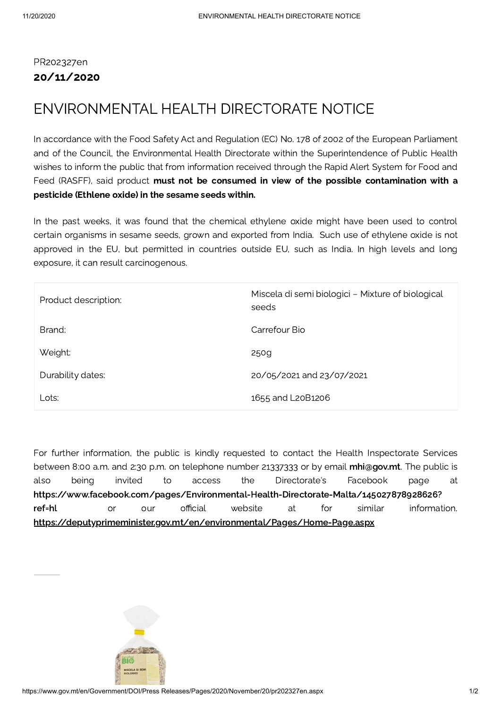## PR202327en 20/11/2020

## ENVIRONMENTAL HEALTH DIRECTORATE NOTICE

In accordance with the Food Safety Act and Regulation (EC) No. 178 of 2002 of the European Parliament and of the Council, the Environmental Health Directorate within the Superintendence of Public Health wishes to inform the public that from information received through the Rapid Alert System for Food and Feed (RASFF), said product must not be consumed in view of the possible contamination with a pesticide (Ethlene oxide) in the sesame seeds within.

In the past weeks, it was found that the chemical ethylene oxide might have been used to control certain organisms in sesame seeds, grown and exported from India. Such use of ethylene oxide is not approved in the EU, but permitted in countries outside EU, such as India. In high levels and long exposure, it can result carcinogenous.

| Product description: | Miscela di semi biologici - Mixture of biological<br>seeds |
|----------------------|------------------------------------------------------------|
| Brand:               | Carrefour Bio                                              |
| Weight:              | 250g                                                       |
| Durability dates:    | 20/05/2021 and 23/07/2021                                  |
| Lots:                | 1655 and L20B1206                                          |

For further information, the public is kindly requested to contact the Health Inspectorate Services between 8:00 a.m. and 2:30 p.m. on telephone number 21337333 or by email [mhi@gov.mt](mailto:mhi@gov.mt). The public is also being invited to access the Directorate's Facebook page at [https://www.facebook.com/pages/Environmental-Health-Directorate-Malta/145027878928626?](https://www.facebook.com/pages/Environmental-Health-Directorate-Malta/145027878928626?ref=hl) ref=hl or our official website at for similar information. <https://deputyprimeminister.gov.mt/en/environmental/Pages/Home-Page.aspx>